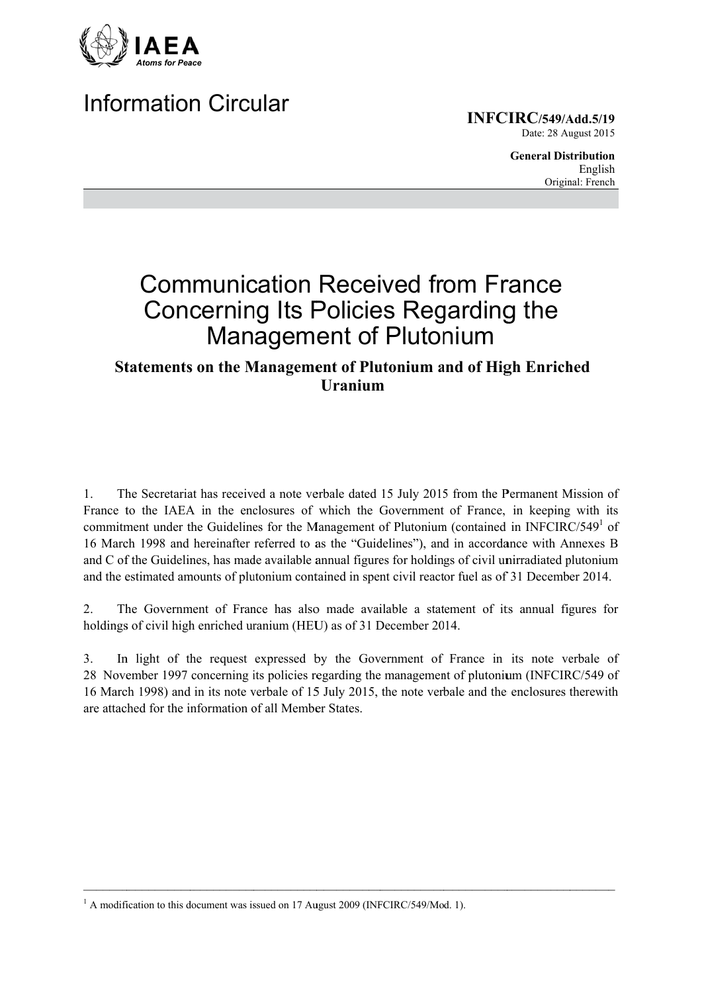

# **Information Circular**

**INFCIRC/549/Add.5/19** Date: 28 August 2015

> **General Distribution** English Original: French

# **Communication Received from France Concerning Its Policies Regarding the Management of Plutonium**

### **Statements on the Management of Plutonium and of High Enriched Uranium**

The Secretariat has received a note verbale dated 15 July 2015 from the Permanent Mission of  $\mathbf{1}$ France to the IAEA in the enclosures of which the Government of France, in keeping with its commitment under the Guidelines for the Management of Plutonium (contained in INFCIRC/549<sup>1</sup> of 16 March 1998 and hereinafter referred to as the "Guidelines"), and in accordance with Annexes B and C of the Guidelines, has made available annual figures for holdings of civil unirradiated plutonium and the estimated amounts of plutonium contained in spent civil reactor fuel as of 31 December 2014.

The Government of France has also made available a statement of its annual figures for  $\overline{2}$ . holdings of civil high enriched uranium (HEU) as of 31 December 2014.

In light of the request expressed by the Government of France in its note verbale of  $\overline{3}$ . 28 November 1997 concerning its policies regarding the management of plutonium (INFCIRC/549 of 16 March 1998) and in its note verbale of 15 July 2015, the note verbale and the enclosures therewith are attached for the information of all Member States

 $^{1}$  A modification to this document was issued on 17 August 2009 (INFCIRC/549/Mod. 1).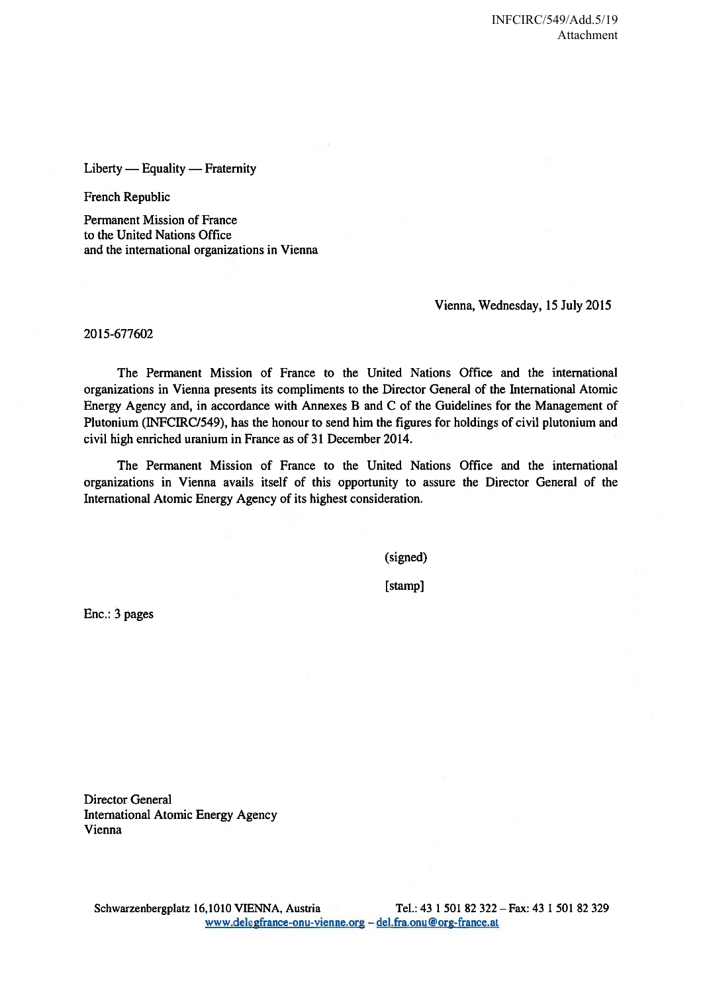$Liberty$  - Equality - Fraternity

French Republic

**Permanent Mission of France** to the United Nations Office and the international organizations in Vienna

Vienna, Wednesday, 15 July 2015

2015-677602

The Permanent Mission of France to the United Nations Office and the international organizations in Vienna presents its compliments to the Director General of the International Atomic Energy Agency and, in accordance with Annexes B and C of the Guidelines for the Management of Plutonium (INFCIRC/549), has the honour to send him the figures for holdings of civil plutonium and civil high enriched uranium in France as of 31 December 2014.

The Permanent Mission of France to the United Nations Office and the international organizations in Vienna avails itself of this opportunity to assure the Director General of the International Atomic Energy Agency of its highest consideration.

(signed)

[stamp]

Enc.: 3 pages

**Director General International Atomic Energy Agency** Vienna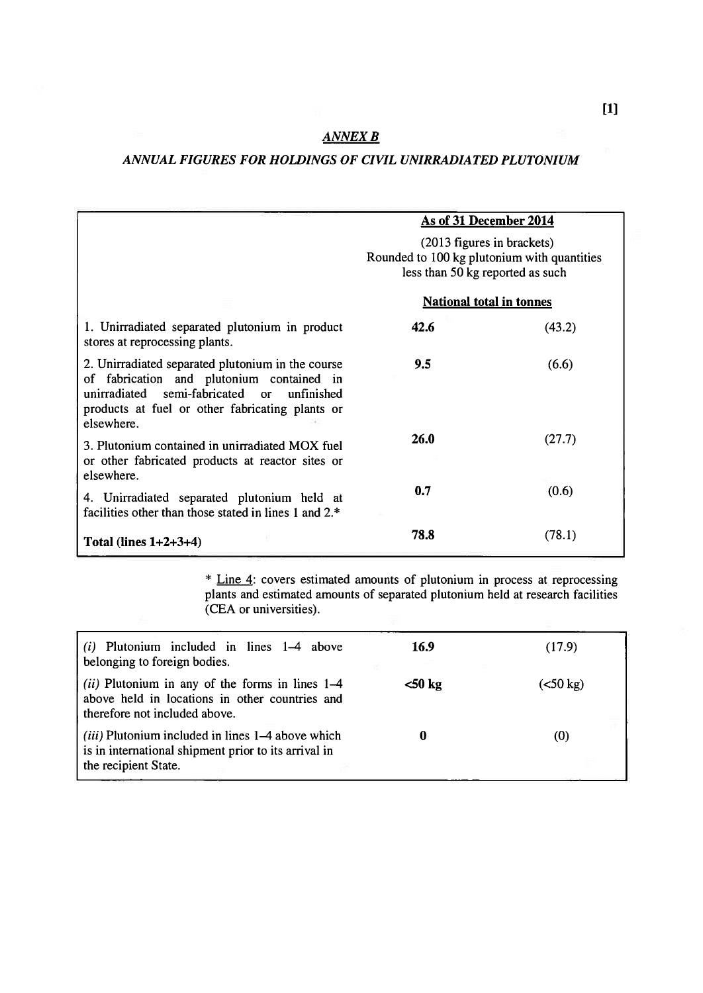### **ANNEX B**

#### ANNUAL FIGURES FOR HOLDINGS OF CIVIL UNIRRADIATED PLUTONIUM

|                                                                                                                                                                                                                  | As of 31 December 2014<br>(2013 figures in brackets)<br>Rounded to 100 kg plutonium with quantities<br>less than 50 kg reported as such |        |
|------------------------------------------------------------------------------------------------------------------------------------------------------------------------------------------------------------------|-----------------------------------------------------------------------------------------------------------------------------------------|--------|
|                                                                                                                                                                                                                  |                                                                                                                                         |        |
|                                                                                                                                                                                                                  | <b>National total in tonnes</b>                                                                                                         |        |
| 1. Unirradiated separated plutonium in product<br>stores at reprocessing plants.                                                                                                                                 | 42.6                                                                                                                                    | (43.2) |
| 2. Unirradiated separated plutonium in the course<br>of fabrication and plutonium contained in<br>unirradiated semi-fabricated or<br>unfinished<br>products at fuel or other fabricating plants or<br>elsewhere. | 9.5                                                                                                                                     | (6.6)  |
| 3. Plutonium contained in unirradiated MOX fuel<br>or other fabricated products at reactor sites or<br>elsewhere.                                                                                                | 26.0                                                                                                                                    | (27.7) |
| 4. Unirradiated separated plutonium held at<br>facilities other than those stated in lines 1 and 2.*                                                                                                             | 0.7                                                                                                                                     | (0.6)  |
| Total (lines $1+2+3+4$ )                                                                                                                                                                                         | 78.8                                                                                                                                    | (78.1) |

\* Line 4: covers estimated amounts of plutonium in process at reprocessing plants and estimated amounts of separated plutonium held at research facilities (CEA or universities).

| $(i)$ Plutonium included in lines $1-4$ above<br>belonging to foreign bodies.                                                                 | 16.9      | (17.9)    |
|-----------------------------------------------------------------------------------------------------------------------------------------------|-----------|-----------|
| ( <i>ii</i> ) Plutonium in any of the forms in lines $1-4$<br>above held in locations in other countries and<br>therefore not included above. | $<$ 50 kg | (< 50 kg) |
| <i>(iii)</i> Plutonium included in lines 1–4 above which<br>is in international shipment prior to its arrival in<br>the recipient State.      |           | (0)       |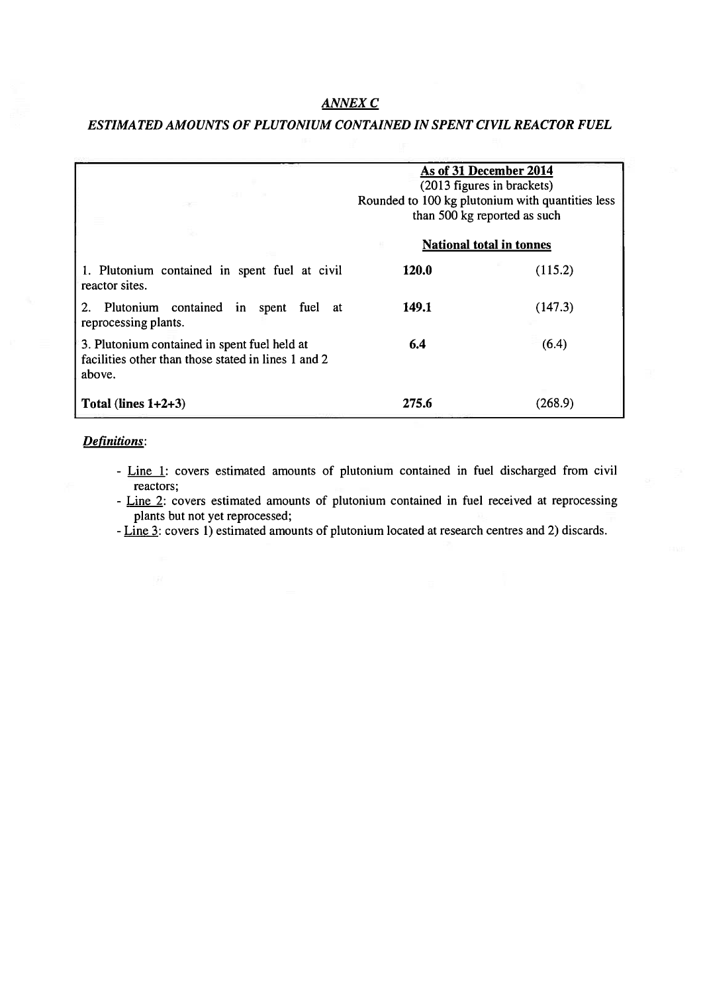#### **ANNEX C**

#### ESTIMATED AMOUNTS OF PLUTONIUM CONTAINED IN SPENT CIVIL REACTOR FUEL

| $-11$                                                                                                         | As of 31 December 2014<br>(2013 figures in brackets)<br>Rounded to 100 kg plutonium with quantities less<br>than 500 kg reported as such<br><b>National total in tonnes</b> |         |
|---------------------------------------------------------------------------------------------------------------|-----------------------------------------------------------------------------------------------------------------------------------------------------------------------------|---------|
|                                                                                                               |                                                                                                                                                                             |         |
| 1. Plutonium contained in spent fuel at civil<br>reactor sites.                                               | 120.0                                                                                                                                                                       | (115.2) |
| Plutonium contained in spent fuel at<br>reprocessing plants.                                                  | 149.1                                                                                                                                                                       | (147.3) |
| 3. Plutonium contained in spent fuel held at<br>facilities other than those stated in lines 1 and 2<br>above. | 6.4                                                                                                                                                                         | (6.4)   |
| Total (lines $1+2+3$ )                                                                                        | 275.6                                                                                                                                                                       | (268.9) |

#### Definitions:

- Line 1: covers estimated amounts of plutonium contained in fuel discharged from civil reactors;
- Line 2: covers estimated amounts of plutonium contained in fuel received at reprocessing plants but not yet reprocessed;
- Line 3: covers 1) estimated amounts of plutonium located at research centres and 2) discards.